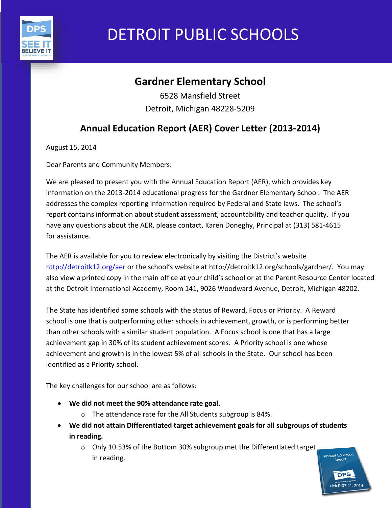

# DETROIT PUBLIC SCHOOLS

## **Gardner Elementary School**

6528 Mansfield Street Detroit, Michigan 48228-5209

## **Annual Education Report (AER) Cover Letter (2013-2014)**

August 15, 2014

Dear Parents and Community Members:

We are pleased to present you with the Annual Education Report (AER), which provides key information on the 2013-2014 educational progress for the Gardner Elementary School. The AER addresses the complex reporting information required by Federal and State laws. The school's report contains information about student assessment, accountability and teacher quality. If you have any questions about the AER, please contact, Karen Doneghy, Principal at (313) 581-4615 for assistance.

The AER is available for you to review electronically by visiting the District's website http://detroitk12.org/aer or the school's website at http://detroitk12.org/schools/gardner/. You may also view a printed copy in the main office at your child's school or at the Parent Resource Center located at the Detroit International Academy, Room 141, 9026 Woodward Avenue, Detroit, Michigan 48202.

The State has identified some schools with the status of Reward, Focus or Priority. A Reward school is one that is outperforming other schools in achievement, growth, or is performing better than other schools with a similar student population. A Focus school is one that has a large achievement gap in 30% of its student achievement scores. A Priority school is one whose achievement and growth is in the lowest 5% of all schools in the State. Our school has been identified as a Priority school.

The key challenges for our school are as follows:

- **We did not meet the 90% attendance rate goal.**
	- o The attendance rate for the All Students subgroup is 84%.
- **We did not attain Differentiated target achievement goals for all subgroups of students in reading.**

o Only 10.53% of the Bottom 30% subgroup met the Differentiated target in reading.

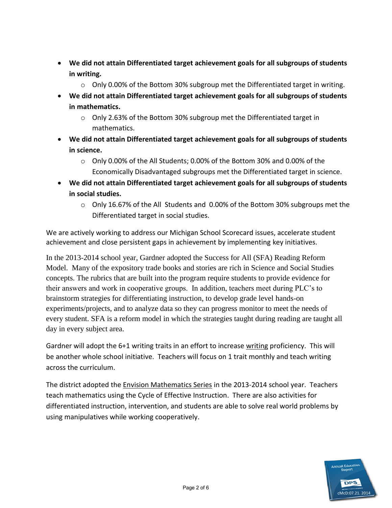- **We did not attain Differentiated target achievement goals for all subgroups of students in writing.** 
	- o Only 0.00% of the Bottom 30% subgroup met the Differentiated target in writing.
- **We did not attain Differentiated target achievement goals for all subgroups of students in mathematics.** 
	- o Only 2.63% of the Bottom 30% subgroup met the Differentiated target in mathematics.
- **We did not attain Differentiated target achievement goals for all subgroups of students in science.** 
	- $\circ$  Only 0.00% of the All Students; 0.00% of the Bottom 30% and 0.00% of the Economically Disadvantaged subgroups met the Differentiated target in science.
- **We did not attain Differentiated target achievement goals for all subgroups of students in social studies.** 
	- $\circ$  Only 16.67% of the All Students and 0.00% of the Bottom 30% subgroups met the Differentiated target in social studies.

We are actively working to address our Michigan School Scorecard issues, accelerate student achievement and close persistent gaps in achievement by implementing key initiatives.

In the 2013-2014 school year, Gardner adopted the Success for All (SFA) Reading Reform Model. Many of the expository trade books and stories are rich in Science and Social Studies concepts. The rubrics that are built into the program require students to provide evidence for their answers and work in cooperative groups. In addition, teachers meet during PLC's to brainstorm strategies for differentiating instruction, to develop grade level hands-on experiments/projects, and to analyze data so they can progress monitor to meet the needs of every student. SFA is a reform model in which the strategies taught during reading are taught all day in every subject area.

Gardner will adopt the 6+1 writing traits in an effort to increase writing proficiency. This will be another whole school initiative. Teachers will focus on 1 trait monthly and teach writing across the curriculum.

The district adopted the Envision Mathematics Series in the 2013-2014 school year. Teachers teach mathematics using the Cycle of Effective Instruction. There are also activities for differentiated instruction, intervention, and students are able to solve real world problems by using manipulatives while working cooperatively.

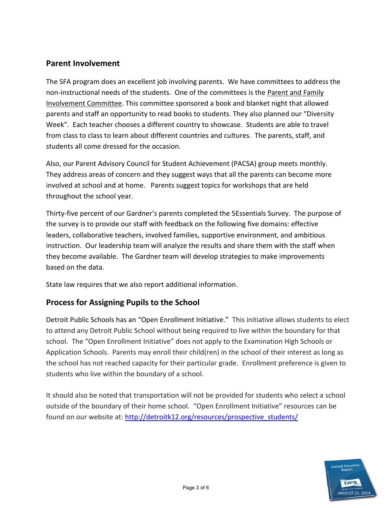#### **Parent Involvement**

The SFA program does an excellent job involving parents. We have committees to address the non-instructional needs of the students. One of the committees is the Parent and Family Involvement Committee. This committee sponsored a book and blanket night that allowed parents and staff an opportunity to read books to students. They also planned our "Diversity Week". Each teacher chooses a different country to showcase. Students are able to travel from class to class to learn about different countries and cultures. The parents, staff, and students all come dressed for the occasion.

Also, our Parent Advisory Council for Student Achievement (PACSA) group meets monthly. They address areas of concern and they suggest ways that all the parents can become more involved at school and at home. Parents suggest topics for workshops that are held throughout the school year.

Thirty-five percent of our Gardner's parents completed the 5Essentials Survey. The purpose of the survey is to provide our staff with feedback on the following five domains: effective leaders, collaborative teachers, involved families, supportive environment, and ambitious instruction. Our leadership team will analyze the results and share them with the staff when they become available. The Gardner team will develop strategies to make improvements based on the data.

State law requires that we also report additional information.

#### **Process for Assigning Pupils to the School**

Detroit Public Schools has an "Open Enrollment Initiative." This initiative allows students to elect to attend any Detroit Public School without being required to live within the boundary for that school. The "Open Enrollment Initiative" does not apply to the Examination High Schools or Application Schools. Parents may enroll their child(ren) in the school of their interest as long as the school has not reached capacity for their particular grade. Enrollment preference is given to students who live within the boundary of a school.

It should also be noted that transportation will not be provided for students who select a school outside of the boundary of their home school. "Open Enrollment Initiative" resources can be found on our website at: [http://detroitk12.org/resources/prospective\\_students/](http://detroitk12.org/resources/prospective_students/)

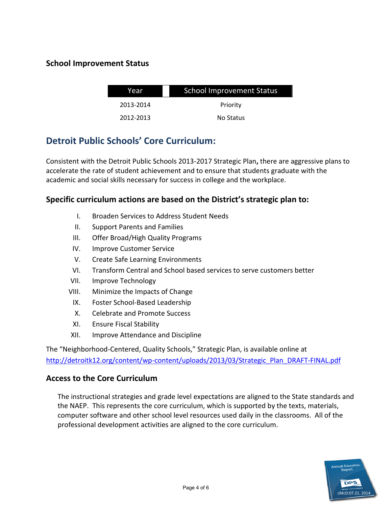#### **School Improvement Status**

| Year      | <b>School Improvement Status</b> |  |
|-----------|----------------------------------|--|
| 2013-2014 | Priority                         |  |
| 2012-2013 | No Status                        |  |

### **Detroit Public Schools' Core Curriculum:**

Consistent with the Detroit Public Schools 2013-2017 Strategic Plan**,** there are aggressive plans to accelerate the rate of student achievement and to ensure that students graduate with the academic and social skills necessary for success in college and the workplace.

#### **Specific curriculum actions are based on the District's strategic plan to:**

- I. Broaden Services to Address Student Needs
- II. Support Parents and Families
- III. Offer Broad/High Quality Programs
- IV. Improve Customer Service
- V. Create Safe Learning Environments
- VI. Transform Central and School based services to serve customers better
- VII. Improve Technology
- VIII. Minimize the Impacts of Change
	- IX. Foster School-Based Leadership
	- X. Celebrate and Promote Success
	- XI. Ensure Fiscal Stability
- XII. Improve Attendance and Discipline

The "Neighborhood-Centered, Quality Schools," Strategic Plan, is available online at [http://detroitk12.org/content/wp-content/uploads/2013/03/Strategic\\_Plan\\_DRAFT-FINAL.pdf](http://detroitk12.org/content/wp-content/uploads/2013/03/Strategic_Plan_DRAFT-FINAL.pdf)

#### **Access to the Core Curriculum**

The instructional strategies and grade level expectations are aligned to the State standards and the NAEP. This represents the core curriculum, which is supported by the texts, materials, computer software and other school level resources used daily in the classrooms. All of the professional development activities are aligned to the core curriculum.

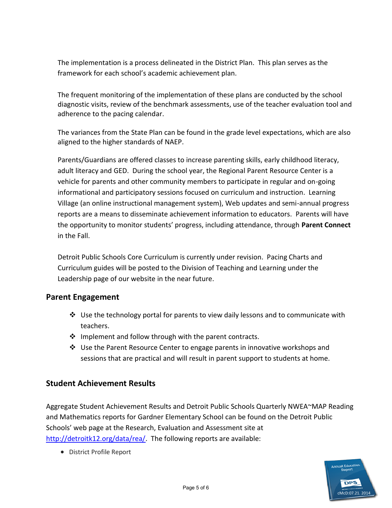The implementation is a process delineated in the District Plan. This plan serves as the framework for each school's academic achievement plan.

The frequent monitoring of the implementation of these plans are conducted by the school diagnostic visits, review of the benchmark assessments, use of the teacher evaluation tool and adherence to the pacing calendar.

The variances from the State Plan can be found in the grade level expectations, which are also aligned to the higher standards of NAEP.

Parents/Guardians are offered classes to increase parenting skills, early childhood literacy, adult literacy and GED. During the school year, the Regional Parent Resource Center is a vehicle for parents and other community members to participate in regular and on-going informational and participatory sessions focused on curriculum and instruction. Learning Village (an online instructional management system), Web updates and semi-annual progress reports are a means to disseminate achievement information to educators. Parents will have the opportunity to monitor students' progress, including attendance, through **Parent Connect**  in the Fall.

Detroit Public Schools Core Curriculum is currently under revision. Pacing Charts and Curriculum guides will be posted to the Division of Teaching and Learning under the Leadership page of our website in the near future.

#### **Parent Engagement**

- $\clubsuit$  Use the technology portal for parents to view daily lessons and to communicate with teachers.
- $\cdot \cdot$  Implement and follow through with the parent contracts.
- Use the Parent Resource Center to engage parents in innovative workshops and sessions that are practical and will result in parent support to students at home.

#### **Student Achievement Results**

Aggregate Student Achievement Results and Detroit Public Schools Quarterly NWEA~MAP Reading and Mathematics reports for Gardner Elementary School can be found on the Detroit Public Schools' web page at the Research, Evaluation and Assessment site at [http://detroitk12.org/data/rea/.](http://detroitk12.org/data/rea/) The following reports are available:

District Profile Report